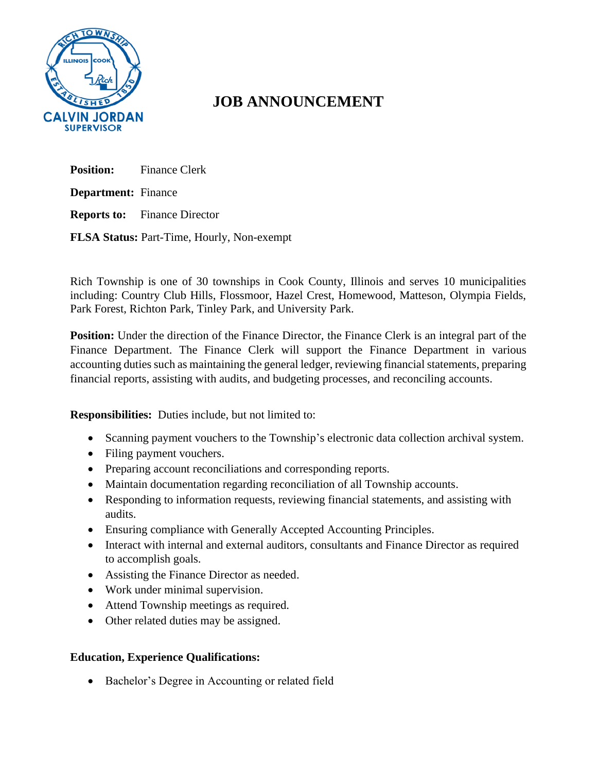

## **JOB ANNOUNCEMENT**

**Position:** Finance Clerk **Department:** Finance **Reports to:** Finance Director **FLSA Status:** Part-Time, Hourly, Non-exempt

Rich Township is one of 30 townships in Cook County, Illinois and serves 10 municipalities including: Country Club Hills, Flossmoor, Hazel Crest, Homewood, Matteson, Olympia Fields, Park Forest, Richton Park, Tinley Park, and University Park.

**Position:** Under the direction of the Finance Director, the Finance Clerk is an integral part of the Finance Department. The Finance Clerk will support the Finance Department in various accounting duties such as maintaining the general ledger, reviewing financial statements, preparing financial reports, assisting with audits, and budgeting processes, and reconciling accounts.

**Responsibilities:** Duties include, but not limited to:

- Scanning payment vouchers to the Township's electronic data collection archival system.
- Filing payment vouchers.
- Preparing account reconciliations and corresponding reports.
- Maintain documentation regarding reconciliation of all Township accounts.
- Responding to information requests, reviewing financial statements, and assisting with audits.
- Ensuring compliance with Generally Accepted Accounting Principles.
- Interact with internal and external auditors, consultants and Finance Director as required to accomplish goals.
- Assisting the Finance Director as needed.
- Work under minimal supervision.
- Attend Township meetings as required.
- Other related duties may be assigned.

## **Education, Experience Qualifications:**

• Bachelor's Degree in Accounting or related field